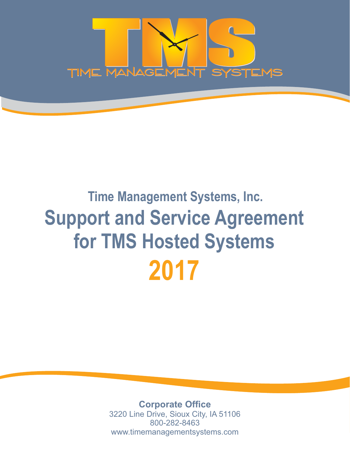

# **Time Management Systems, Inc. 2017 Support and Service Agreement for TMS Hosted Systems**

**Corporate Office** 3220 Line Drive, Sioux City, IA 51106 800-282-8463 www.timemanagementsystems.com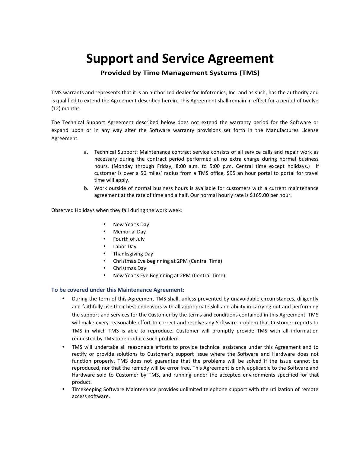# **Support and Service Agreement**

**Provided by Time Management Systems (TMS)**

TMS warrants and represents that it is an authorized dealer for Infotronics, Inc. and as such, has the authority and is qualified to extend the Agreement described herein. This Agreement shall remain in effect for a period of twelve (12) months.

The Technical Support Agreement described below does not extend the warranty period for the Software or expand upon or in any way alter the Software warranty provisions set forth in the Manufactures License Agreement.

- a. Technical Support: Maintenance contract service consists of all service calls and repair work as necessary during the contract period performed at no extra charge during normal business hours. (Monday through Friday, 8:00 a.m. to 5:00 p.m. Central time except holidays.) If customer is over a 50 miles' radius from a TMS office, \$95 an hour portal to portal for travel time will apply.
- b. Work outside of normal business hours is available for customers with a current maintenance agreement at the rate of time and a half. Our normal hourly rate is \$165.00 per hour.

Observed Holidays when they fall during the work week:

- New Year's Day
- Memorial Day
- Fourth of July
- Labor Day
- Thanksgiving Day
- Christmas Eve beginning at 2PM (Central Time)
- Christmas Day
- New Year's Eve Beginning at 2PM (Central Time)

#### **To be covered under this Maintenance Agreement:**

- During the term of this Agreement TMS shall, unless prevented by unavoidable circumstances, diligently and faithfully use their best endeavors with all appropriate skill and ability in carrying out and performing the support and services for the Customer by the terms and conditions contained in this Agreement. TMS will make every reasonable effort to correct and resolve any Software problem that Customer reports to TMS in which TMS is able to reproduce. Customer will promptly provide TMS with all information requested by TMS to reproduce such problem.
- TMS will undertake all reasonable efforts to provide technical assistance under this Agreement and to rectify or provide solutions to Customer's support issue where the Software and Hardware does not function properly. TMS does not guarantee that the problems will be solved if the issue cannot be reproduced, nor that the remedy will be error free. This Agreement is only applicable to the Software and Hardware sold to Customer by TMS, and running under the accepted environments specified for that product.
- Timekeeping Software Maintenance provides unlimited telephone support with the utilization of remote access software.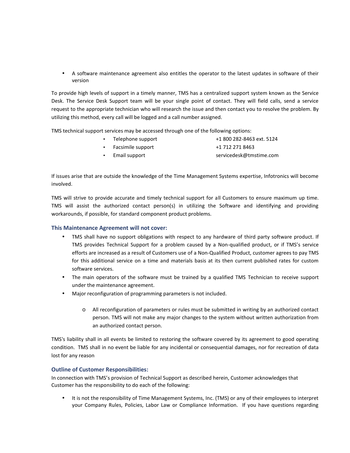A software maintenance agreement also entitles the operator to the latest updates in software of their version

To provide high levels of support in a timely manner, TMS has a centralized support system known as the Service Desk. The Service Desk Support team will be your single point of contact. They will field calls, send a service request to the appropriate technician who will research the issue and then contact you to resolve the problem. By utilizing this method, every call will be logged and a call number assigned.

TMS technical support services may be accessed through one of the following options:

 $\bullet$  Telephone support  $+1800282-8463$  ext. 5124 Facsimile support +1 712 271 8463 Email support servicedesk@tmstime.com

If issues arise that are outside the knowledge of the Time Management Systems expertise, Infotronics will become involved.

TMS will strive to provide accurate and timely technical support for all Customers to ensure maximum up time. TMS will assist the authorized contact person(s) in utilizing the Software and identifying and providing workarounds, if possible, for standard component product problems.

### **This Maintenance Agreement will not cover:**

- TMS shall have no support obligations with respect to any hardware of third party software product. If TMS provides Technical Support for a problem caused by a Non-qualified product, or if TMS's service efforts are increased as a result of Customers use of a Non-Qualified Product, customer agrees to pay TMS for this additional service on a time and materials basis at its then current published rates for custom software services.
- The main operators of the software must be trained by a qualified TMS Technician to receive support under the maintenance agreement.
- Major reconfiguration of programming parameters is not included.
	- o All reconfiguration of parameters or rules must be submitted in writing by an authorized contact person. TMS will not make any major changes to the system without written authorization from an authorized contact person.

TMS's liability shall in all events be limited to restoring the software covered by its agreement to good operating condition. TMS shall in no event be liable for any incidental or consequential damages, nor for recreation of data lost for any reason

## **Outline of Customer Responsibilities:**

In connection with TMS's provision of Technical Support as described herein, Customer acknowledges that Customer has the responsibility to do each of the following:

 It is not the responsibility of Time Management Systems, Inc. (TMS) or any of their employees to interpret your Company Rules, Policies, Labor Law or Compliance Information. If you have questions regarding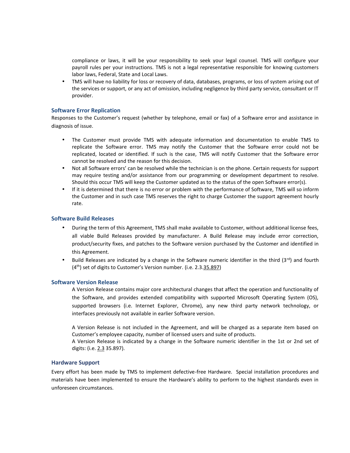compliance or laws, it will be your responsibility to seek your legal counsel. TMS will configure your payroll rules per your instructions. TMS is not a legal representative responsible for knowing customers labor laws, Federal, State and Local Laws.

 TMS will have no liability for loss or recovery of data, databases, programs, or loss of system arising out of the services or support, or any act of omission, including negligence by third party service, consultant or IT provider.

#### **Software Error Replication**

Responses to the Customer's request (whether by telephone, email or fax) of a Software error and assistance in diagnosis of issue.

- The Customer must provide TMS with adequate information and documentation to enable TMS to replicate the Software error. TMS may notify the Customer that the Software error could not be replicated, located or identified. If such is the case, TMS will notify Customer that the Software error cannot be resolved and the reason for this decision.
- Not all Software errors' can be resolved while the technician is on the phone. Certain requests for support may require testing and/or assistance from our programming or development department to resolve. Should this occur TMS will keep the Customer updated as to the status of the open Software error(s).
- If it is determined that there is no error or problem with the performance of Software, TMS will so inform the Customer and in such case TMS reserves the right to charge Customer the support agreement hourly rate.

#### **Software Build Releases**

- During the term of this Agreement, TMS shall make available to Customer, without additional license fees, all viable Build Releases provided by manufacturer. A Build Release may include error correction, product/security fixes, and patches to the Software version purchased by the Customer and identified in this Agreement.
- $\bullet$  Build Releases are indicated by a change in the Software numeric identifier in the third (3rd) and fourth  $(4<sup>th</sup>)$  set of digits to Customer's Version number. (i.e. 2.3.35.897)

#### **Software Version Release**

A Version Release contains major core architectural changes that affect the operation and functionality of the Software, and provides extended compatibility with supported Microsoft Operating System (OS), supported browsers (i.e. Internet Explorer, Chrome), any new third party network technology, or interfaces previously not available in earlier Software version.

A Version Release is not included in the Agreement, and will be charged as a separate item based on Customer's employee capacity, number of licensed users and suite of products. A Version Release is indicated by a change in the Software numeric identifier in the 1st or 2nd set of digits: (i.e. 2.3 35.897).

#### **Hardware Support**

Every effort has been made by TMS to implement defective-free Hardware. Special installation procedures and materials have been implemented to ensure the Hardware's ability to perform to the highest standards even in unforeseen circumstances.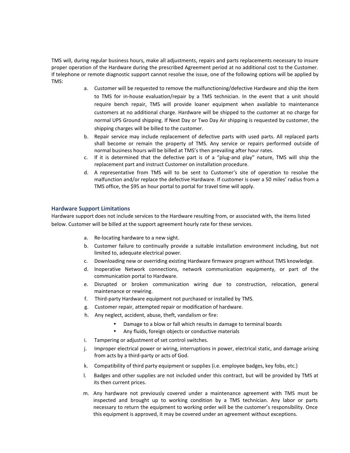TMS will, during regular business hours, make all adjustments, repairs and parts replacements necessary to insure proper operation of the Hardware during the prescribed Agreement period at no additional cost to the Customer. If telephone or remote diagnostic support cannot resolve the issue, one of the following options will be applied by TMS:

- a. Customer will be requested to remove the malfunctioning/defective Hardware and ship the item to TMS for in-house evaluation/repair by a TMS technician. In the event that a unit should require bench repair, TMS will provide loaner equipment when available to maintenance customers at no additional charge. Hardware will be shipped to the customer at no charge for normal UPS Ground shipping. If Next Day or Two Day Air shipping is requested by customer, the shipping charges will be billed to the customer.
- b. Repair service may include replacement of defective parts with used parts. All replaced parts shall become or remain the property of TMS. Any service or repairs performed outside of normal business hours will be billed at TMS's then prevailing after hour rates.
- c. If it is determined that the defective part is of a "plug-and play" nature, TMS will ship the replacement part and instruct Customer on installation procedure.
- d. A representative from TMS will to be sent to Customer's site of operation to resolve the malfunction and/or replace the defective Hardware. If customer is over a 50 miles' radius from a TMS office, the \$95 an hour portal to portal for travel time will apply.

#### **Hardware Support Limitations**

Hardware support does not include services to the Hardware resulting from, or associated with, the items listed below. Customer will be billed at the support agreement hourly rate for these services.

- a. Re-locating hardware to a new sight.
- b. Customer failure to continually provide a suitable installation environment including, but not limited to, adequate electrical power.
- c. Downloading new or overriding existing Hardware firmware program without TMS knowledge.
- d. Inoperative Network connections, network communication equipmenty, or part of the communication portal to Hardware.
- e. Disrupted or broken communication wiring due to construction, relocation, general maintenance or rewiring.
- f. Third-party Hardware equipment not purchased or installed by TMS.
- g. Customer repair, attempted repair or modification of hardware.
- h. Any neglect, accident, abuse, theft, vandalism or fire:
	- Damage to a blow or fall which results in damage to terminal boards
	- Any fluids, foreign objects or conductive materials
- Damage to a blow or fall which result<br>Any fluids, foreign objects or conduct<br>i. Tampering or adjustment of set control switches.
- I. Improper electrical power or wiring, interruptions in power, electrical static, and damage arising<br>from acts by a third-party or acts of God.<br>k. Compatibility of third party equipment or supplies (i.e. employee badges, k. Improper electrical power or wiring, interruptions in power, electrical static, and damage arising<br>from acts by a third-party or acts of God.<br>k. Compatibility of third party equipment or supplies (i.e. employee badges, m. Any neglect, accident, abuse, thert, vandalism or fire:<br>
• Damage to a blow or fall which results in damage to terminal boards<br>
• Any fluids, foreign objects or conductive materials<br>
i. Tampering or adjustment of set co from acts by a third-party or acts of God.
- 
- its then current prices.
- k. Compatibility of third party equipment or supplies (i.e. employee badges, key fobs, etc.)<br>
1. Badges and other supplies are not included under this contract, but will be provided by TMS at<br>
its then current prices.<br>
1. inspected and brought up to working condition by a TMS technician. Any labor or parts necessary to return the equipment to working order will be the customer's responsibility. Once its then current prices.<br>Any hardware not previously covered under a maintenance agreement with TMS must be<br>inspected and brought up to working condition by a TMS technician. Any labor or parts<br>necessary to return the equi